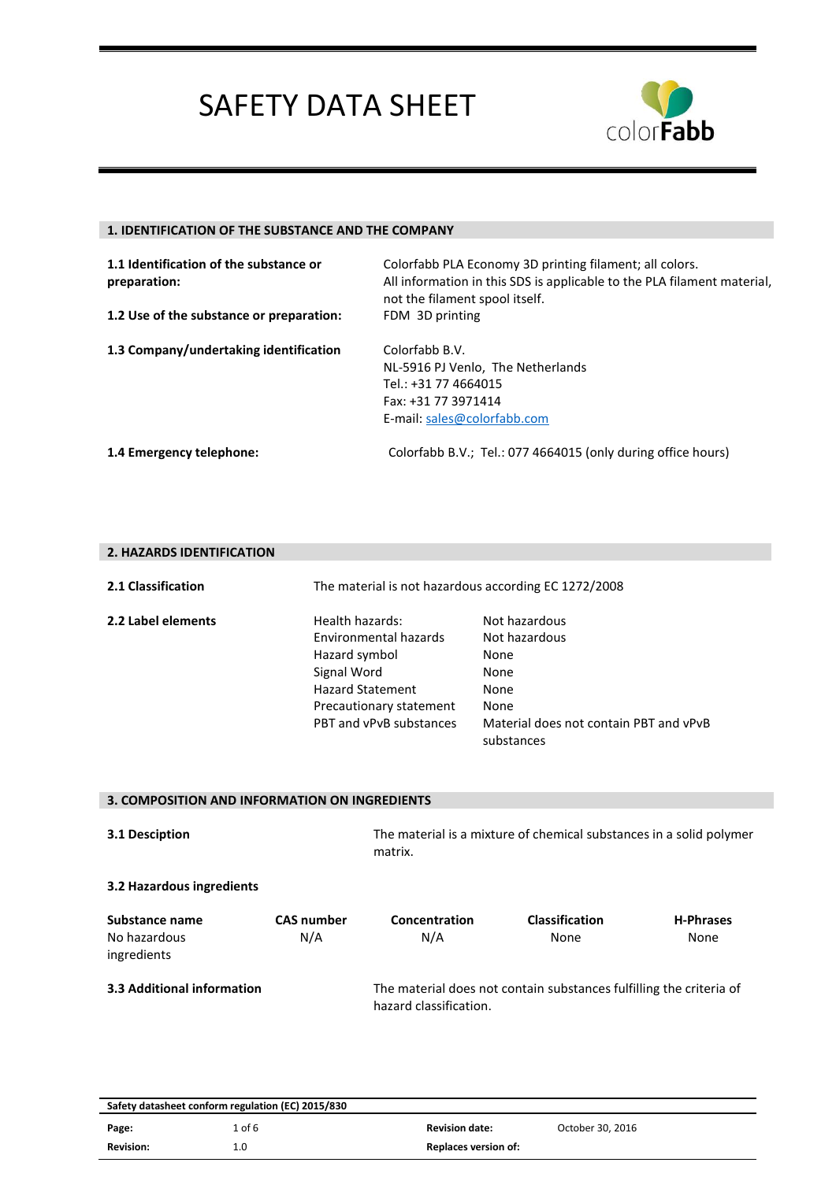

### **1. IDENTIFICATION OF THE SUBSTANCE AND THE COMPANY**

| 1.1 Identification of the substance or<br>preparation: | Colorfabb PLA Economy 3D printing filament; all colors.<br>All information in this SDS is applicable to the PLA filament material,<br>not the filament spool itself. |
|--------------------------------------------------------|----------------------------------------------------------------------------------------------------------------------------------------------------------------------|
| 1.2 Use of the substance or preparation:               | FDM 3D printing                                                                                                                                                      |
| 1.3 Company/undertaking identification                 | Colorfabb B.V.<br>NL-5916 PJ Venlo, The Netherlands<br>Tel.: +31 77 4664015<br>Fax: +31 77 3971414<br>E-mail: sales@colorfabb.com                                    |
| 1.4 Emergency telephone:                               | Colorfabb B.V.; Tel.: 077 4664015 (only during office hours)                                                                                                         |

#### **2. HAZARDS IDENTIFICATION**

| Health hazards:<br>Not hazardous                                                                                                                                                                                                 |
|----------------------------------------------------------------------------------------------------------------------------------------------------------------------------------------------------------------------------------|
| Environmental hazards<br>Not hazardous<br>Hazard symbol<br>None<br>None<br><b>Hazard Statement</b><br>None<br>Precautionary statement<br>None<br>PBT and vPvB substances<br>Material does not contain PBT and vPvB<br>substances |
| Signal Word                                                                                                                                                                                                                      |

| 3. COMPOSITION AND INFORMATION ON INGREDIENTS |                          |                                                                                               |                               |                          |
|-----------------------------------------------|--------------------------|-----------------------------------------------------------------------------------------------|-------------------------------|--------------------------|
| 3.1 Desciption                                |                          | The material is a mixture of chemical substances in a solid polymer<br>matrix.                |                               |                          |
| 3.2 Hazardous ingredients                     |                          |                                                                                               |                               |                          |
| Substance name<br>No hazardous<br>ingredients | <b>CAS number</b><br>N/A | Concentration<br>N/A                                                                          | <b>Classification</b><br>None | <b>H-Phrases</b><br>None |
| 3.3 Additional information                    |                          | The material does not contain substances fulfilling the criteria of<br>hazard classification. |                               |                          |

| Safety datasheet conform regulation (EC) 2015/830 |         |                             |                  |
|---------------------------------------------------|---------|-----------------------------|------------------|
| Page:                                             | 1 of 6  | <b>Revision date:</b>       | October 30, 2016 |
| <b>Revision:</b>                                  | $1.0\,$ | <b>Replaces version of:</b> |                  |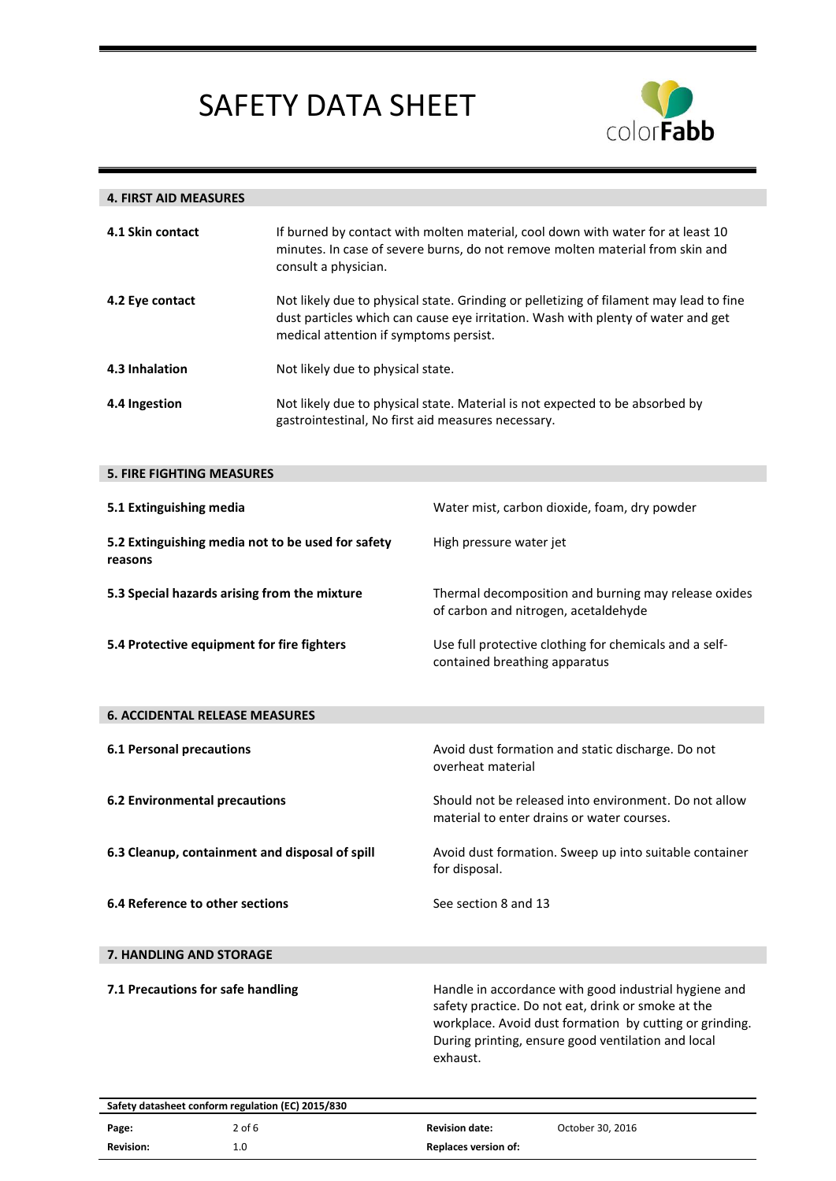

| <b>4. FIRST AID MEASURES</b>                                 |                                                                                                                                                                                          |                                                                                                                                                                                                                                          |  |
|--------------------------------------------------------------|------------------------------------------------------------------------------------------------------------------------------------------------------------------------------------------|------------------------------------------------------------------------------------------------------------------------------------------------------------------------------------------------------------------------------------------|--|
| 4.1 Skin contact                                             | If burned by contact with molten material, cool down with water for at least 10<br>minutes. In case of severe burns, do not remove molten material from skin and<br>consult a physician. |                                                                                                                                                                                                                                          |  |
| 4.2 Eye contact                                              |                                                                                                                                                                                          | Not likely due to physical state. Grinding or pelletizing of filament may lead to fine<br>dust particles which can cause eye irritation. Wash with plenty of water and get<br>medical attention if symptoms persist.                     |  |
| 4.3 Inhalation                                               | Not likely due to physical state.                                                                                                                                                        |                                                                                                                                                                                                                                          |  |
| 4.4 Ingestion                                                | Not likely due to physical state. Material is not expected to be absorbed by<br>gastrointestinal, No first aid measures necessary.                                                       |                                                                                                                                                                                                                                          |  |
| <b>5. FIRE FIGHTING MEASURES</b>                             |                                                                                                                                                                                          |                                                                                                                                                                                                                                          |  |
| 5.1 Extinguishing media                                      |                                                                                                                                                                                          | Water mist, carbon dioxide, foam, dry powder                                                                                                                                                                                             |  |
| 5.2 Extinguishing media not to be used for safety<br>reasons |                                                                                                                                                                                          | High pressure water jet                                                                                                                                                                                                                  |  |
| 5.3 Special hazards arising from the mixture                 |                                                                                                                                                                                          | Thermal decomposition and burning may release oxides<br>of carbon and nitrogen, acetaldehyde                                                                                                                                             |  |
| 5.4 Protective equipment for fire fighters                   |                                                                                                                                                                                          | Use full protective clothing for chemicals and a self-<br>contained breathing apparatus                                                                                                                                                  |  |
| <b>6. ACCIDENTAL RELEASE MEASURES</b>                        |                                                                                                                                                                                          |                                                                                                                                                                                                                                          |  |
| <b>6.1 Personal precautions</b>                              |                                                                                                                                                                                          | Avoid dust formation and static discharge. Do not<br>overheat material                                                                                                                                                                   |  |
| <b>6.2 Environmental precautions</b>                         |                                                                                                                                                                                          | Should not be released into environment. Do not allow<br>material to enter drains or water courses.                                                                                                                                      |  |
| 6.3 Cleanup, containment and disposal of spill               |                                                                                                                                                                                          | Avoid dust formation. Sweep up into suitable container<br>for disposal.                                                                                                                                                                  |  |
| 6.4 Reference to other sections                              |                                                                                                                                                                                          | See section 8 and 13                                                                                                                                                                                                                     |  |
| 7. HANDLING AND STORAGE                                      |                                                                                                                                                                                          |                                                                                                                                                                                                                                          |  |
| 7.1 Precautions for safe handling                            |                                                                                                                                                                                          | Handle in accordance with good industrial hygiene and<br>safety practice. Do not eat, drink or smoke at the<br>workplace. Avoid dust formation by cutting or grinding.<br>During printing, ensure good ventilation and local<br>exhaust. |  |
|                                                              |                                                                                                                                                                                          |                                                                                                                                                                                                                                          |  |

| Safety datasheet conform regulation (EC) 2015/830 |        |                             |                  |
|---------------------------------------------------|--------|-----------------------------|------------------|
| Page:                                             | 2 of 6 | <b>Revision date:</b>       | October 30, 2016 |
| <b>Revision:</b>                                  | 1.0    | <b>Replaces version of:</b> |                  |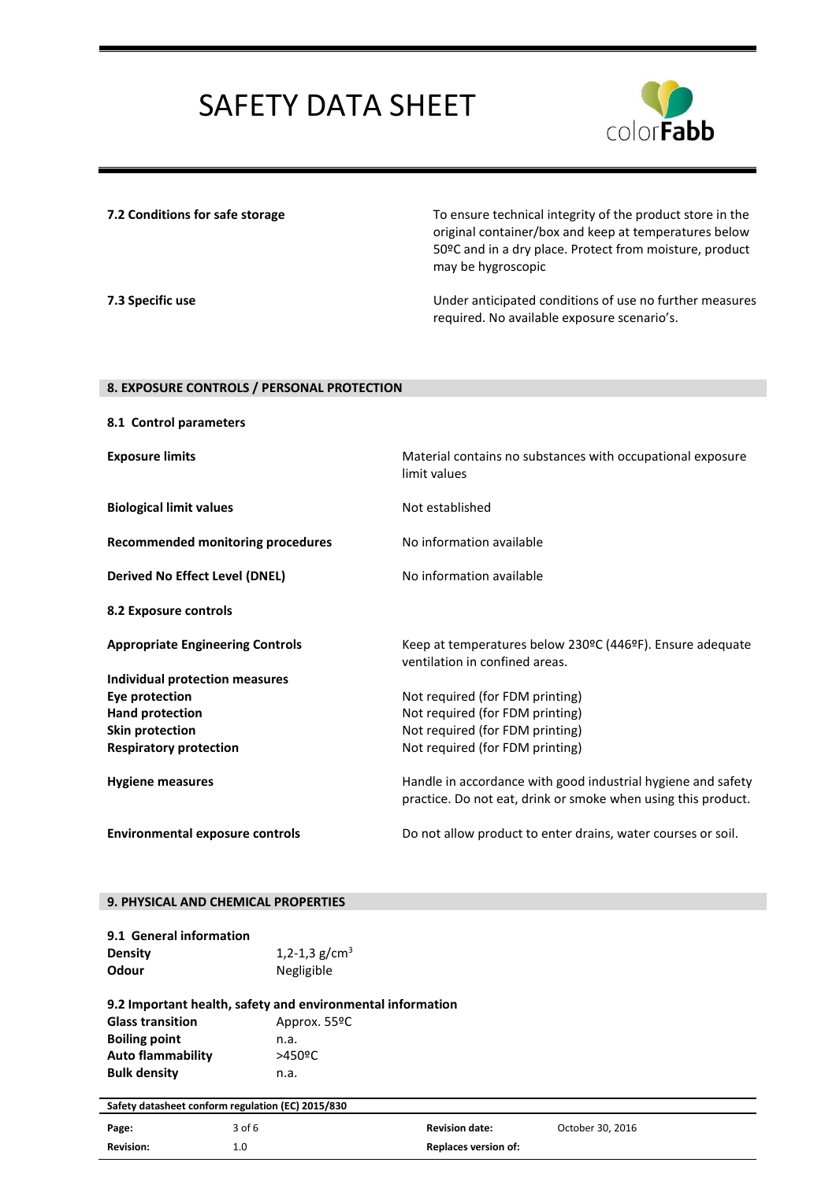

**7.2 Conditions for safe storage** To ensure technical integrity of the product store in the original container/box and keep at temperatures below 50ºC and in a dry place. Protect from moisture, product may be hygroscopic

**7.3 Specific use** Under anticipated conditions of use no further measures required. No available exposure scenario's.

#### **8. EXPOSURE CONTROLS / PERSONAL PROTECTION**

| 8.1 Control parameters                   |                                                                                                                               |
|------------------------------------------|-------------------------------------------------------------------------------------------------------------------------------|
| <b>Exposure limits</b>                   | Material contains no substances with occupational exposure<br>limit values                                                    |
| <b>Biological limit values</b>           | Not established                                                                                                               |
| <b>Recommended monitoring procedures</b> | No information available                                                                                                      |
| <b>Derived No Effect Level (DNEL)</b>    | No information available                                                                                                      |
| 8.2 Exposure controls                    |                                                                                                                               |
| <b>Appropriate Engineering Controls</b>  | Keep at temperatures below 230°C (446°F). Ensure adequate<br>ventilation in confined areas.                                   |
| <b>Individual protection measures</b>    |                                                                                                                               |
| <b>Eye protection</b>                    | Not required (for FDM printing)                                                                                               |
| Hand protection                          | Not required (for FDM printing)                                                                                               |
| <b>Skin protection</b>                   | Not required (for FDM printing)                                                                                               |
| <b>Respiratory protection</b>            | Not required (for FDM printing)                                                                                               |
| <b>Hygiene measures</b>                  | Handle in accordance with good industrial hygiene and safety<br>practice. Do not eat, drink or smoke when using this product. |
| <b>Environmental exposure controls</b>   | Do not allow product to enter drains, water courses or soil.                                                                  |

#### **9. PHYSICAL AND CHEMICAL PROPERTIES**

| 9.1 General information |                 |
|-------------------------|-----------------|
| <b>Density</b>          | 1,2-1,3 $g/cm3$ |
| Odour                   | Negligible      |

#### **9.2 Important health, safety and environmental information** Glass transition **Approx. 55ºC Boiling point** n.a. **Auto flammability** >450ºC

**Bulk density** n.a.

**Safety datasheet conform regulation (EC) 2015/830**

|                  | . .    |                       |                  |
|------------------|--------|-----------------------|------------------|
| Page:            | 3 of 6 | <b>Revision date:</b> | October 30, 2016 |
| <b>Revision:</b> |        | Replaces version of:  |                  |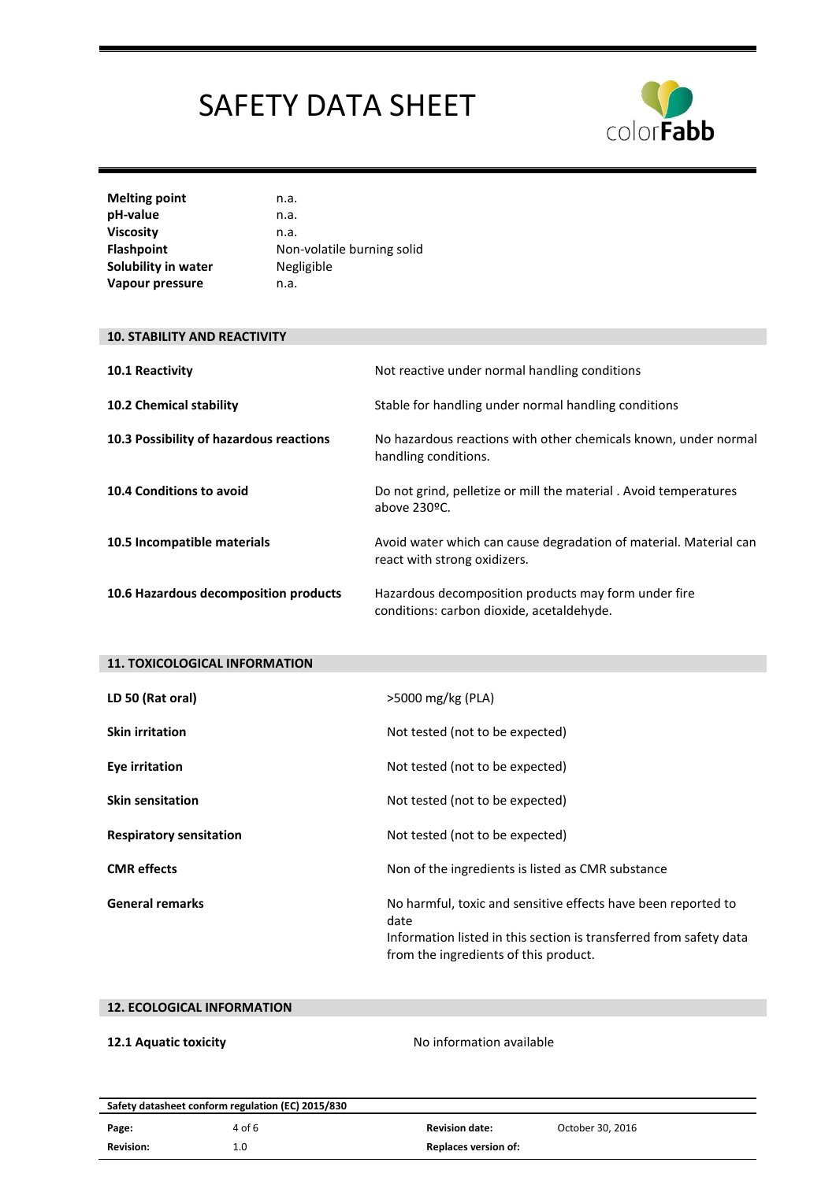

| <b>Melting point</b> | n.a.                       |
|----------------------|----------------------------|
| pH-value             | n.a.                       |
| <b>Viscosity</b>     | n.a.                       |
| <b>Flashpoint</b>    | Non-volatile burning solid |
| Solubility in water  | Negligible                 |
| Vapour pressure      | n.a.                       |

#### **10. STABILITY AND REACTIVITY**

| 10.1 Reactivity                         | Not reactive under normal handling conditions                                                     |
|-----------------------------------------|---------------------------------------------------------------------------------------------------|
| <b>10.2 Chemical stability</b>          | Stable for handling under normal handling conditions                                              |
| 10.3 Possibility of hazardous reactions | No hazardous reactions with other chemicals known, under normal<br>handling conditions.           |
| 10.4 Conditions to avoid                | Do not grind, pelletize or mill the material. Avoid temperatures<br>above 230ºC.                  |
| 10.5 Incompatible materials             | Avoid water which can cause degradation of material. Material can<br>react with strong oxidizers. |
| 10.6 Hazardous decomposition products   | Hazardous decomposition products may form under fire                                              |

conditions: carbon dioxide, acetaldehyde.

| <b>11. TOXICOLOGICAL INFORMATION</b> |                                                                                                                                                                                      |
|--------------------------------------|--------------------------------------------------------------------------------------------------------------------------------------------------------------------------------------|
| LD 50 (Rat oral)                     | >5000 mg/kg (PLA)                                                                                                                                                                    |
| <b>Skin irritation</b>               | Not tested (not to be expected)                                                                                                                                                      |
| Eye irritation                       | Not tested (not to be expected)                                                                                                                                                      |
| <b>Skin sensitation</b>              | Not tested (not to be expected)                                                                                                                                                      |
| <b>Respiratory sensitation</b>       | Not tested (not to be expected)                                                                                                                                                      |
| <b>CMR</b> effects                   | Non of the ingredients is listed as CMR substance                                                                                                                                    |
| <b>General remarks</b>               | No harmful, toxic and sensitive effects have been reported to<br>date<br>Information listed in this section is transferred from safety data<br>from the ingredients of this product. |

### **12. ECOLOGICAL INFORMATION**

**12.1 Aquatic toxicity 12.1 Aquatic toxicity No information available** 

| Safety datasheet conform regulation (EC) 2015/830 |        |                             |                  |  |
|---------------------------------------------------|--------|-----------------------------|------------------|--|
| Page:                                             | 4 of 6 | <b>Revision date:</b>       | October 30, 2016 |  |
| <b>Revision:</b>                                  | 0.⊥    | <b>Replaces version of:</b> |                  |  |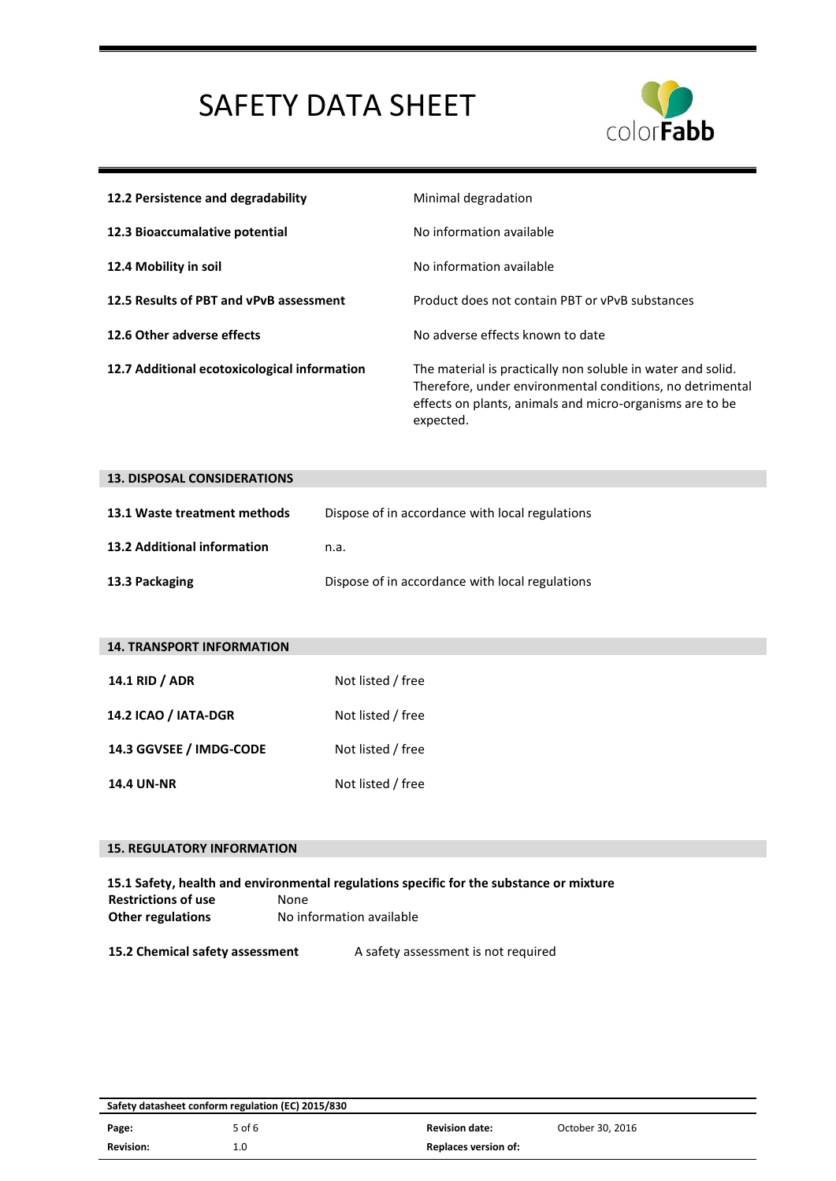

| 12.2 Persistence and degradability           | Minimal degradation                                                                                                                                                                               |
|----------------------------------------------|---------------------------------------------------------------------------------------------------------------------------------------------------------------------------------------------------|
| 12.3 Bioaccumalative potential               | No information available                                                                                                                                                                          |
| 12.4 Mobility in soil                        | No information available                                                                                                                                                                          |
| 12.5 Results of PBT and vPvB assessment      | Product does not contain PBT or vPvB substances                                                                                                                                                   |
| 12.6 Other adverse effects                   | No adverse effects known to date                                                                                                                                                                  |
| 12.7 Additional ecotoxicological information | The material is practically non soluble in water and solid.<br>Therefore, under environmental conditions, no detrimental<br>effects on plants, animals and micro-organisms are to be<br>expected. |

| <b>13. DISPOSAL CONSIDERATIONS</b> |                                                 |  |
|------------------------------------|-------------------------------------------------|--|
| 13.1 Waste treatment methods       | Dispose of in accordance with local regulations |  |
| 13.2 Additional information        | n.a.                                            |  |
| 13.3 Packaging                     | Dispose of in accordance with local regulations |  |

| <b>14. TRANSPORT INFORMATION</b> |                   |  |
|----------------------------------|-------------------|--|
| 14.1 RID / ADR                   | Not listed / free |  |
| 14.2 ICAO / IATA-DGR             | Not listed / free |  |
| 14.3 GGVSEE / IMDG-CODE          | Not listed / free |  |
| <b>14.4 UN-NR</b>                | Not listed / free |  |

### **15. REGULATORY INFORMATION**

|                            | 15.1 Safety, health and environmental regulations specific for the substance or mixture |
|----------------------------|-----------------------------------------------------------------------------------------|
| <b>Restrictions of use</b> | None                                                                                    |
| <b>Other regulations</b>   | No information available                                                                |
|                            |                                                                                         |

**15.2 Chemical safety assessment** A safety assessment is not required

| Safety datasheet conform regulation (EC) 2015/830 |        |                             |                  |
|---------------------------------------------------|--------|-----------------------------|------------------|
| Page:                                             | 5 of 6 | <b>Revision date:</b>       | October 30, 2016 |
| <b>Revision:</b>                                  | 1.0    | <b>Replaces version of:</b> |                  |